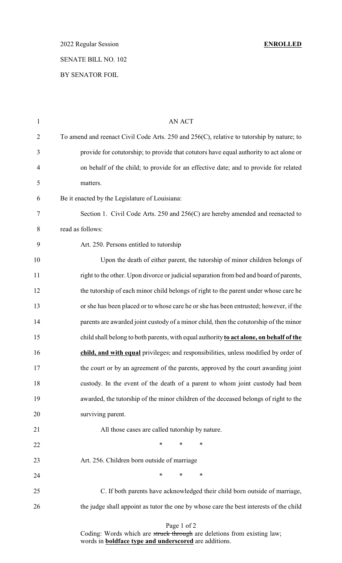2022 Regular Session **ENROLLED**

# SENATE BILL NO. 102

## BY SENATOR FOIL

| $\mathbf{1}$   | AN ACT                                                                                    |
|----------------|-------------------------------------------------------------------------------------------|
| $\overline{2}$ | To amend and reenact Civil Code Arts. 250 and 256(C), relative to tutorship by nature; to |
| 3              | provide for cotutorship; to provide that cotutors have equal authority to act alone or    |
| $\overline{4}$ | on behalf of the child; to provide for an effective date; and to provide for related      |
| 5              | matters.                                                                                  |
| 6              | Be it enacted by the Legislature of Louisiana:                                            |
| 7              | Section 1. Civil Code Arts. 250 and 256(C) are hereby amended and reenacted to            |
| $8\,$          | read as follows:                                                                          |
| 9              | Art. 250. Persons entitled to tutorship                                                   |
| 10             | Upon the death of either parent, the tutorship of minor children belongs of               |
| 11             | right to the other. Upon divorce or judicial separation from bed and board of parents,    |
| 12             | the tutorship of each minor child belongs of right to the parent under whose care he      |
| 13             | or she has been placed or to whose care he or she has been entrusted; however, if the     |
| 14             | parents are awarded joint custody of a minor child, then the cotutorship of the minor     |
| 15             | child shall belong to both parents, with equal authority to act alone, on behalf of the   |
| 16             | child, and with equal privileges, and responsibilities, unless modified by order of       |
| 17             | the court or by an agreement of the parents, approved by the court awarding joint         |
| 18             | custody. In the event of the death of a parent to whom joint custody had been             |
| 19             | awarded, the tutorship of the minor children of the deceased belongs of right to the      |
| 20             | surviving parent.                                                                         |
| 21             | All those cases are called tutorship by nature.                                           |
| 22             | $\ast$<br>$\ast$<br>∗                                                                     |
| 23             | Art. 256. Children born outside of marriage                                               |
| 24             | $\ast$<br>$\ast$<br>∗                                                                     |
| 25             | C. If both parents have acknowledged their child born outside of marriage,                |
| 26             | the judge shall appoint as tutor the one by whose care the best interests of the child    |
|                |                                                                                           |

### Page 1 of 2

Coding: Words which are struck through are deletions from existing law; words in **boldface type and underscored** are additions.